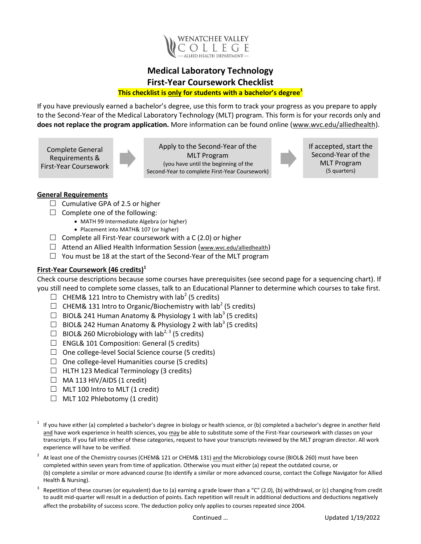

## **Medical Laboratory Technology First-Year Coursework Checklist This checklist is only for students with a bachelor's degree<sup>1</sup>**

If you have previously earned a bachelor's degree, use this form to track your progress as you prepare to apply to the Second-Year of the Medical Laboratory Technology (MLT) program. This form is for your records only and **does not replace the program application.** More information can be found online (www.wvc.edu/alliedhealth).

Complete General Requirements & First-Year Coursework



Apply to the Second-Year of the MLT Program (you have until the beginning of the Second-Year to complete First-Year Coursework) If accepted, start the Second-Year of the MLT Program (5 quarters)

## **General Requirements**

- $\Box$  Cumulative GPA of 2.5 or higher
- $\Box$  Complete one of the following:
	- MATH 99 Intermediate Algebra (or higher)
	- Placement into MATH& 107 (or higher)
- $\Box$  Complete all First-Year coursework with a C (2.0) or higher
- $\Box$  Attend an Allied Health Information Session (www.wvc.edu/alliedhealth)
- $\Box$  You must be 18 at the start of the Second-Year of the MLT program

## **First-Year Coursework (46 credits)<sup>1</sup>**

Check course descriptions because some courses have prerequisites (see second page for a sequencing chart). If you still need to complete some classes, talk to an Educational Planner to determine which courses to take first.

- $\Box$  CHEM& 121 Intro to Chemistry with lab<sup>2</sup> (5 credits)
- $\Box$  CHEM& 131 Intro to Organic/Biochemistry with lab<sup>2</sup> (5 credits)
- $\Box$  BIOL& 241 Human Anatomy & Physiology 1 with lab<sup>3</sup> (5 credits)
- $\Box$  BIOL& 242 Human Anatomy & Physiology 2 with lab<sup>3</sup> (5 credits)
- $\Box$  BIOL& 260 Microbiology with lab<sup>2, 3</sup> (5 credits)
- $\Box$  ENGL& 101 Composition: General (5 credits)
- $\Box$  One college-level Social Science course (5 credits)
- $\Box$  One college-level Humanities course (5 credits)
- $\Box$  HLTH 123 Medical Terminology (3 credits)
- $\Box$  MA 113 HIV/AIDS (1 credit)
- $\Box$  MLT 100 Intro to MLT (1 credit)
- $\Box$  MLT 102 Phlebotomy (1 credit)
- 1 If you have either (a) completed a bachelor's degree in biology or health science, or (b) completed a bachelor's degree in another field and have work experience in health sciences, you may be able to substitute some of the First-Year coursework with classes on your transcripts. If you fall into either of these categories, request to have your transcripts reviewed by the MLT program director. All work experience will have to be verified.
- 2 At least one of the Chemistry courses (CHEM& 121 or CHEM& 131) and the Microbiology course (BIOL& 260) must have been completed within seven years from time of application. Otherwise you must either (a) repeat the outdated course, or (b) complete a similar or more advanced course (to identify a similar or more advanced course, contact the College Navigator for Allied Health & Nursing).
- 3 Repetition of these courses (or equivalent) due to (a) earning a grade lower than a "C" (2.0), (b) withdrawal, or (c) changing from credit to audit mid-quarter will result in a deduction of points. Each repetition will result in additional deductions and deductions negatively affect the probability of success score. The deduction policy only applies to courses repeated since 2004.